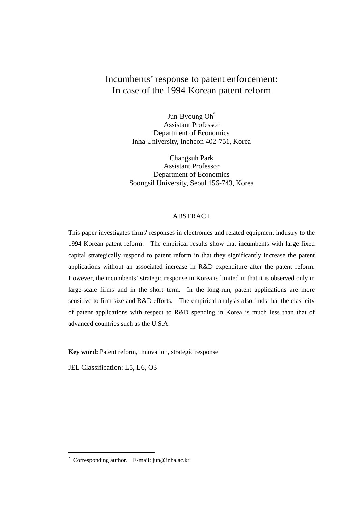# Incumbents' response to patent enforcement: In case of the 1994 Korean patent reform

Jun-Byoung Oh\* Assistant Professor Department of Economics Inha University, Incheon 402-751, Korea

Changsuh Park Assistant Professor Department of Economics Soongsil University, Seoul 156-743, Korea

#### ABSTRACT

This paper investigates firms' responses in electronics and related equipment industry to the 1994 Korean patent reform. The empirical results show that incumbents with large fixed capital strategically respond to patent reform in that they significantly increase the patent applications without an associated increase in R&D expenditure after the patent reform. However, the incumbents' strategic response in Korea is limited in that it is observed only in large-scale firms and in the short term. In the long-run, patent applications are more sensitive to firm size and R&D efforts. The empirical analysis also finds that the elasticity of patent applications with respect to R&D spending in Korea is much less than that of advanced countries such as the U.S.A.

**Key word:** Patent reform, innovation, strategic response

JEL Classification: L5, L6, O3

1

<sup>\*</sup> Corresponding author. E-mail: jun@inha.ac.kr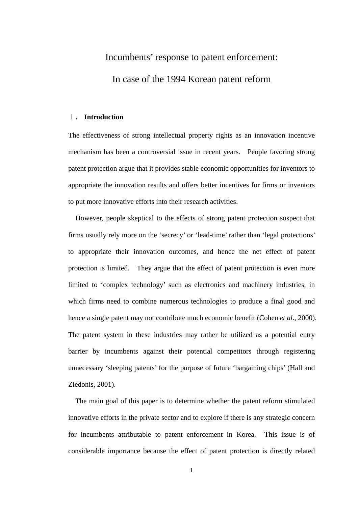# Incumbents' response to patent enforcement: In case of the 1994 Korean patent reform

# Ⅰ**. Introduction**

The effectiveness of strong intellectual property rights as an innovation incentive mechanism has been a controversial issue in recent years. People favoring strong patent protection argue that it provides stable economic opportunities for inventors to appropriate the innovation results and offers better incentives for firms or inventors to put more innovative efforts into their research activities.

However, people skeptical to the effects of strong patent protection suspect that firms usually rely more on the 'secrecy' or 'lead-time' rather than 'legal protections' to appropriate their innovation outcomes, and hence the net effect of patent protection is limited. They argue that the effect of patent protection is even more limited to 'complex technology' such as electronics and machinery industries, in which firms need to combine numerous technologies to produce a final good and hence a single patent may not contribute much economic benefit (Cohen *et al*., 2000). The patent system in these industries may rather be utilized as a potential entry barrier by incumbents against their potential competitors through registering unnecessary 'sleeping patents' for the purpose of future 'bargaining chips' (Hall and Ziedonis, 2001).

The main goal of this paper is to determine whether the patent reform stimulated innovative efforts in the private sector and to explore if there is any strategic concern for incumbents attributable to patent enforcement in Korea. This issue is of considerable importance because the effect of patent protection is directly related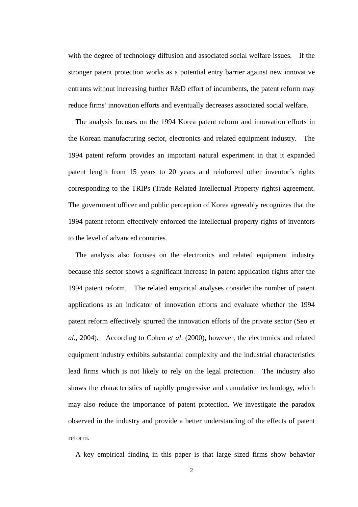with the degree of technology diffusion and associated social welfare issues. If the stronger patent protection works as a potential entry barrier against new innovative entrants without increasing further R&D effort of incumbents, the patent reform may reduce firms' innovation efforts and eventually decreases associated social welfare.

The analysis focuses on the 1994 Korea patent reform and innovation efforts in the Korean manufacturing sector, electronics and related equipment industry. The 1994 patent reform provides an important natural experiment in that it expanded patent length from 15 years to 20 years and reinforced other inventor's rights corresponding to the TRIPs (Trade Related Intellectual Property rights) agreement. The government officer and public perception of Korea agreeably recognizes that the 1994 patent reform effectively enforced the intellectual property rights of inventors to the level of advanced countries.

The analysis also focuses on the electronics and related equipment industry because this sector shows a significant increase in patent application rights after the 1994 patent reform. The related empirical analyses consider the number of patent applications as an indicator of innovation efforts and evaluate whether the 1994 patent reform effectively spurred the innovation efforts of the private sector (Seo *et al*., 2004). According to Cohen *et al*. (2000), however, the electronics and related equipment industry exhibits substantial complexity and the industrial characteristics lead firms which is not likely to rely on the legal protection. The industry also shows the characteristics of rapidly progressive and cumulative technology, which may also reduce the importance of patent protection. We investigate the paradox observed in the industry and provide a better understanding of the effects of patent reform.

A key empirical finding in this paper is that large sized firms show behavior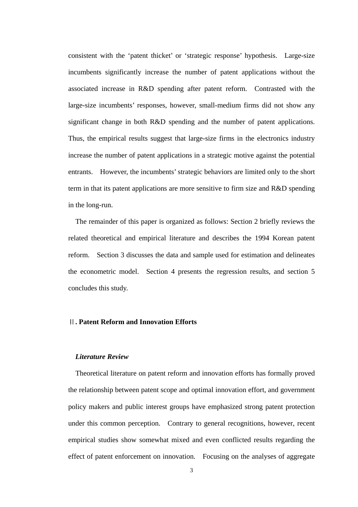consistent with the 'patent thicket' or 'strategic response' hypothesis. Large-size incumbents significantly increase the number of patent applications without the associated increase in R&D spending after patent reform. Contrasted with the large-size incumbents' responses, however, small-medium firms did not show any significant change in both R&D spending and the number of patent applications. Thus, the empirical results suggest that large-size firms in the electronics industry increase the number of patent applications in a strategic motive against the potential entrants. However, the incumbents' strategic behaviors are limited only to the short term in that its patent applications are more sensitive to firm size and R&D spending in the long-run.

The remainder of this paper is organized as follows: Section 2 briefly reviews the related theoretical and empirical literature and describes the 1994 Korean patent reform. Section 3 discusses the data and sample used for estimation and delineates the econometric model. Section 4 presents the regression results, and section 5 concludes this study.

# Ⅱ**. Patent Reform and Innovation Efforts**

# *Literature Review*

Theoretical literature on patent reform and innovation efforts has formally proved the relationship between patent scope and optimal innovation effort, and government policy makers and public interest groups have emphasized strong patent protection under this common perception. Contrary to general recognitions, however, recent empirical studies show somewhat mixed and even conflicted results regarding the effect of patent enforcement on innovation. Focusing on the analyses of aggregate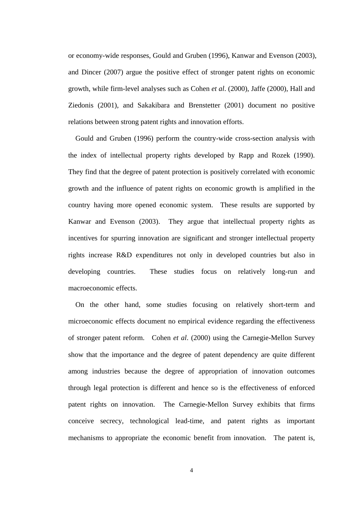or economy-wide responses, Gould and Gruben (1996), Kanwar and Evenson (2003), and Dincer (2007) argue the positive effect of stronger patent rights on economic growth, while firm-level analyses such as Cohen *et al*. (2000), Jaffe (2000), Hall and Ziedonis (2001), and Sakakibara and Brenstetter (2001) document no positive relations between strong patent rights and innovation efforts.

Gould and Gruben (1996) perform the country-wide cross-section analysis with the index of intellectual property rights developed by Rapp and Rozek (1990). They find that the degree of patent protection is positively correlated with economic growth and the influence of patent rights on economic growth is amplified in the country having more opened economic system. These results are supported by Kanwar and Evenson (2003). They argue that intellectual property rights as incentives for spurring innovation are significant and stronger intellectual property rights increase R&D expenditures not only in developed countries but also in developing countries. These studies focus on relatively long-run and macroeconomic effects.

On the other hand, some studies focusing on relatively short-term and microeconomic effects document no empirical evidence regarding the effectiveness of stronger patent reform. Cohen *et al*. (2000) using the Carnegie-Mellon Survey show that the importance and the degree of patent dependency are quite different among industries because the degree of appropriation of innovation outcomes through legal protection is different and hence so is the effectiveness of enforced patent rights on innovation. The Carnegie-Mellon Survey exhibits that firms conceive secrecy, technological lead-time, and patent rights as important mechanisms to appropriate the economic benefit from innovation. The patent is,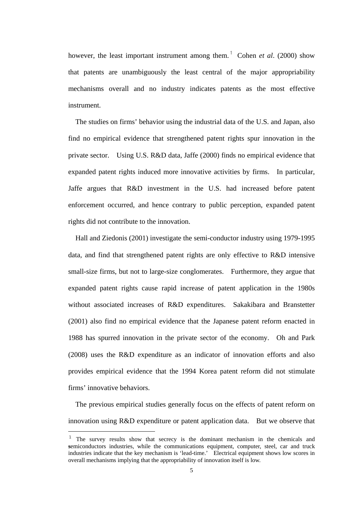however, the least important instrument among them.<sup>1</sup> Cohen *et al.* (2000) show that patents are unambiguously the least central of the major appropriability mechanisms overall and no industry indicates patents as the most effective instrument.

The studies on firms' behavior using the industrial data of the U.S. and Japan, also find no empirical evidence that strengthened patent rights spur innovation in the private sector. Using U.S. R&D data, Jaffe (2000) finds no empirical evidence that expanded patent rights induced more innovative activities by firms. In particular, Jaffe argues that R&D investment in the U.S. had increased before patent enforcement occurred, and hence contrary to public perception, expanded patent rights did not contribute to the innovation.

Hall and Ziedonis (2001) investigate the semi-conductor industry using 1979-1995 data, and find that strengthened patent rights are only effective to R&D intensive small-size firms, but not to large-size conglomerates. Furthermore, they argue that expanded patent rights cause rapid increase of patent application in the 1980s without associated increases of R&D expenditures. Sakakibara and Branstetter (2001) also find no empirical evidence that the Japanese patent reform enacted in 1988 has spurred innovation in the private sector of the economy. Oh and Park (2008) uses the R&D expenditure as an indicator of innovation efforts and also provides empirical evidence that the 1994 Korea patent reform did not stimulate firms' innovative behaviors.

The previous empirical studies generally focus on the effects of patent reform on innovation using R&D expenditure or patent application data. But we observe that

 $\overline{a}$ 

<sup>&</sup>lt;sup>1</sup> The survey results show that secrecy is the dominant mechanism in the chemicals and **s**emiconductors industries, while the communications equipment, computer, steel, car and truck industries indicate that the key mechanism is 'lead-time.' Electrical equipment shows low scores in overall mechanisms implying that the appropriability of innovation itself is low.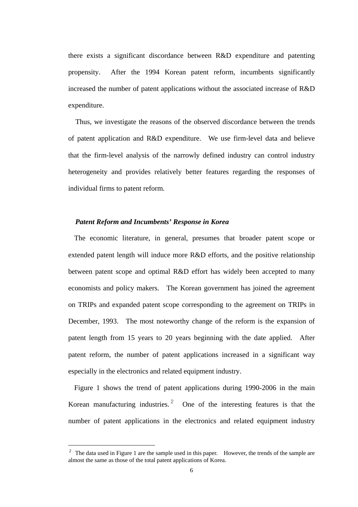there exists a significant discordance between R&D expenditure and patenting propensity. After the 1994 Korean patent reform, incumbents significantly increased the number of patent applications without the associated increase of R&D expenditure.

Thus, we investigate the reasons of the observed discordance between the trends of patent application and R&D expenditure. We use firm-level data and believe that the firm-level analysis of the narrowly defined industry can control industry heterogeneity and provides relatively better features regarding the responses of individual firms to patent reform.

#### *Patent Reform and Incumbents' Response in Korea*

The economic literature, in general, presumes that broader patent scope or extended patent length will induce more R&D efforts, and the positive relationship between patent scope and optimal R&D effort has widely been accepted to many economists and policy makers. The Korean government has joined the agreement on TRIPs and expanded patent scope corresponding to the agreement on TRIPs in December, 1993. The most noteworthy change of the reform is the expansion of patent length from 15 years to 20 years beginning with the date applied. After patent reform, the number of patent applications increased in a significant way especially in the electronics and related equipment industry.

Figure 1 shows the trend of patent applications during 1990-2006 in the main Korean manufacturing industries.<sup>2</sup> One of the interesting features is that the number of patent applications in the electronics and related equipment industry

1

<sup>&</sup>lt;sup>2</sup> The data used in Figure 1 are the sample used in this paper. However, the trends of the sample are almost the same as those of the total patent applications of Korea.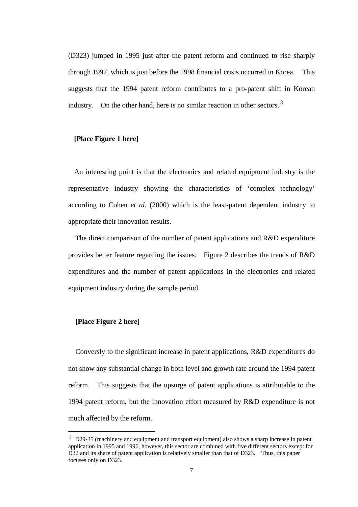(D323) jumped in 1995 just after the patent reform and continued to rise sharply through 1997, which is just before the 1998 financial crisis occurred in Korea. This suggests that the 1994 patent reform contributes to a pro-patent shift in Korean industry. On the other hand, here is no similar reaction in other sectors.  $3$ 

# **[Place Figure 1 here]**

An interesting point is that the electronics and related equipment industry is the representative industry showing the characteristics of 'complex technology' according to Cohen *et al*. (2000) which is the least-patent dependent industry to appropriate their innovation results.

The direct comparison of the number of patent applications and R&D expenditure provides better feature regarding the issues. Figure 2 describes the trends of R&D expenditures and the number of patent applications in the electronics and related equipment industry during the sample period.

# **[Place Figure 2 here]**

 $\overline{a}$ 

Conversly to the significant increase in patent applications, R&D expenditures do not show any substantial change in both level and growth rate around the 1994 patent reform. This suggests that the upsurge of patent applications is attributable to the 1994 patent reform, but the innovation effort measured by R&D expenditure is not much affected by the reform.

<sup>&</sup>lt;sup>3</sup> D29-35 (machinery and equipment and transport equipment) also shows a sharp increase in patent application in 1995 and 1996, however, this sector are combined with five different sectors except for D32 and its share of patent application is relatively smaller than that of D323. Thus, this paper focuses only on D323.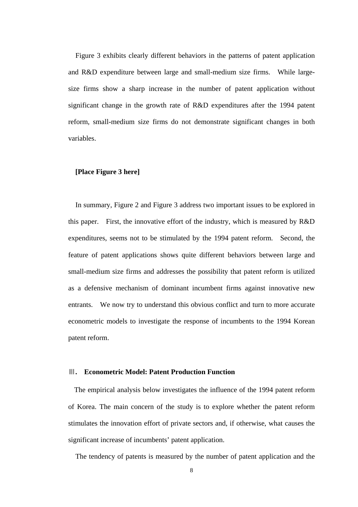Figure 3 exhibits clearly different behaviors in the patterns of patent application and R&D expenditure between large and small-medium size firms. While largesize firms show a sharp increase in the number of patent application without significant change in the growth rate of R&D expenditures after the 1994 patent reform, small-medium size firms do not demonstrate significant changes in both variables.

# **[Place Figure 3 here]**

In summary, Figure 2 and Figure 3 address two important issues to be explored in this paper. First, the innovative effort of the industry, which is measured by R&D expenditures, seems not to be stimulated by the 1994 patent reform. Second, the feature of patent applications shows quite different behaviors between large and small-medium size firms and addresses the possibility that patent reform is utilized as a defensive mechanism of dominant incumbent firms against innovative new entrants. We now try to understand this obvious conflict and turn to more accurate econometric models to investigate the response of incumbents to the 1994 Korean patent reform.

#### Ⅲ**. Econometric Model: Patent Production Function**

The empirical analysis below investigates the influence of the 1994 patent reform of Korea. The main concern of the study is to explore whether the patent reform stimulates the innovation effort of private sectors and, if otherwise, what causes the significant increase of incumbents' patent application.

The tendency of patents is measured by the number of patent application and the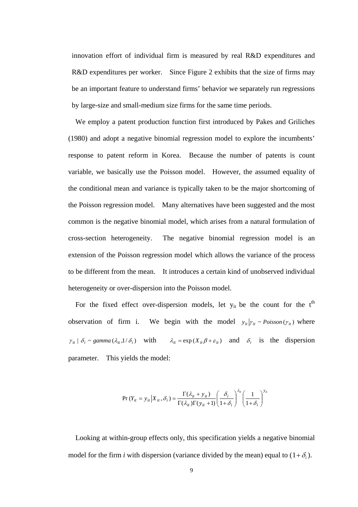innovation effort of individual firm is measured by real R&D expenditures and R&D expenditures per worker. Since Figure 2 exhibits that the size of firms may be an important feature to understand firms' behavior we separately run regressions by large-size and small-medium size firms for the same time periods.

We employ a patent production function first introduced by Pakes and Griliches (1980) and adopt a negative binomial regression model to explore the incumbents' response to patent reform in Korea. Because the number of patents is count variable, we basically use the Poisson model. However, the assumed equality of the conditional mean and variance is typically taken to be the major shortcoming of the Poisson regression model. Many alternatives have been suggested and the most common is the negative binomial model, which arises from a natural formulation of cross-section heterogeneity. The negative binomial regression model is an extension of the Poisson regression model which allows the variance of the process to be different from the mean. It introduces a certain kind of unobserved individual heterogeneity or over-dispersion into the Poisson model.

For the fixed effect over-dispersion models, let  $y_{it}$  be the count for the  $t<sup>th</sup>$ observation of firm i. We begin with the model  $y_{i} | y_{i} \sim Poisson(y_{i})$  where  $\gamma_{it} \mid \delta_i \sim gamma(\lambda_{it}, 1/\delta_i)$  with  $\lambda_{it} = \exp(X_{it} \beta + \varepsilon_{it})$  and  $\delta_i$  is the dispersion parameter. This yields the model:

$$
\Pr(Y_{it} = y_{it} | X_{it}, \delta_i) = \frac{\Gamma(\lambda_{it} + y_{it})}{\Gamma(\lambda_{it})\Gamma(y_{it} + 1)} \left(\frac{\delta_i}{1 + \delta_i}\right)^{\lambda_{it}} \left(\frac{1}{1 + \delta_i}\right)^{y_{it}}
$$

Looking at within-group effects only, this specification yields a negative binomial model for the firm *i* with dispersion (variance divided by the mean) equal to  $(1+\delta_i)$ .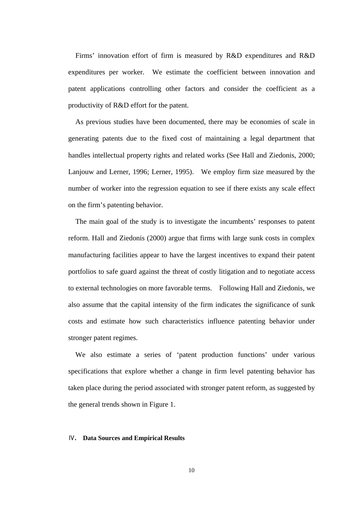Firms' innovation effort of firm is measured by R&D expenditures and R&D expenditures per worker. We estimate the coefficient between innovation and patent applications controlling other factors and consider the coefficient as a productivity of R&D effort for the patent.

As previous studies have been documented, there may be economies of scale in generating patents due to the fixed cost of maintaining a legal department that handles intellectual property rights and related works (See Hall and Ziedonis, 2000; Lanjouw and Lerner, 1996; Lerner, 1995). We employ firm size measured by the number of worker into the regression equation to see if there exists any scale effect on the firm's patenting behavior.

The main goal of the study is to investigate the incumbents' responses to patent reform. Hall and Ziedonis (2000) argue that firms with large sunk costs in complex manufacturing facilities appear to have the largest incentives to expand their patent portfolios to safe guard against the threat of costly litigation and to negotiate access to external technologies on more favorable terms. Following Hall and Ziedonis, we also assume that the capital intensity of the firm indicates the significance of sunk costs and estimate how such characteristics influence patenting behavior under stronger patent regimes.

We also estimate a series of 'patent production functions' under various specifications that explore whether a change in firm level patenting behavior has taken place during the period associated with stronger patent reform, as suggested by the general trends shown in Figure 1.

# Ⅳ**. Data Sources and Empirical Results**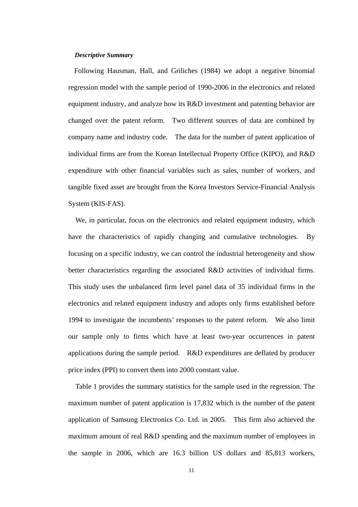#### *Descriptive Summary*

Following Hausman, Hall, and Griliches (1984) we adopt a negative binomial regression model with the sample period of 1990-2006 in the electronics and related equipment industry, and analyze how its R&D investment and patenting behavior are changed over the patent reform. Two different sources of data are combined by company name and industry code. The data for the number of patent application of individual firms are from the Korean Intellectual Property Office (KIPO), and R&D expenditure with other financial variables such as sales, number of workers, and tangible fixed asset are brought from the Korea Investors Service-Financial Analysis System (KIS-FAS).

We, in particular, focus on the electronics and related equipment industry, which have the characteristics of rapidly changing and cumulative technologies. By focusing on a specific industry, we can control the industrial heterogeneity and show better characteristics regarding the associated R&D activities of individual firms. This study uses the unbalanced firm level panel data of 35 individual firms in the electronics and related equipment industry and adopts only firms established before 1994 to investigate the incumbents' responses to the patent reform. We also limit our sample only to firms which have at least two-year occurrences in patent applications during the sample period. R&D expenditures are deflated by producer price index (PPI) to convert them into 2000 constant value.

Table 1 provides the summary statistics for the sample used in the regression. The maximum number of patent application is 17,832 which is the number of the patent application of Samsung Electronics Co. Ltd. in 2005. This firm also achieved the maximum amount of real R&D spending and the maximum number of employees in the sample in 2006, which are 16.3 billion US dollars and 85,813 workers,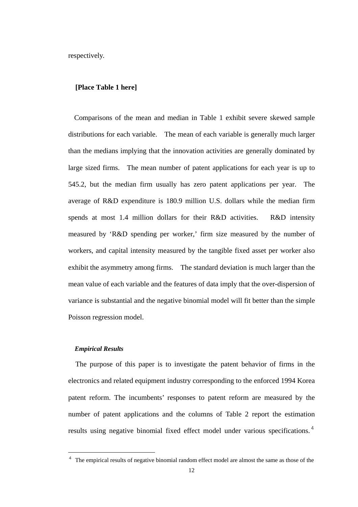respectively.

#### **[Place Table 1 here]**

Comparisons of the mean and median in Table 1 exhibit severe skewed sample distributions for each variable. The mean of each variable is generally much larger than the medians implying that the innovation activities are generally dominated by large sized firms. The mean number of patent applications for each year is up to 545.2, but the median firm usually has zero patent applications per year. The average of R&D expenditure is 180.9 million U.S. dollars while the median firm spends at most 1.4 million dollars for their R&D activities. R&D intensity measured by 'R&D spending per worker,' firm size measured by the number of workers, and capital intensity measured by the tangible fixed asset per worker also exhibit the asymmetry among firms. The standard deviation is much larger than the mean value of each variable and the features of data imply that the over-dispersion of variance is substantial and the negative binomial model will fit better than the simple Poisson regression model.

#### *Empirical Results*

1

The purpose of this paper is to investigate the patent behavior of firms in the electronics and related equipment industry corresponding to the enforced 1994 Korea patent reform. The incumbents' responses to patent reform are measured by the number of patent applications and the columns of Table 2 report the estimation results using negative binomial fixed effect model under various specifications.<sup>4</sup>

<sup>&</sup>lt;sup>4</sup> The empirical results of negative binomial random effect model are almost the same as those of the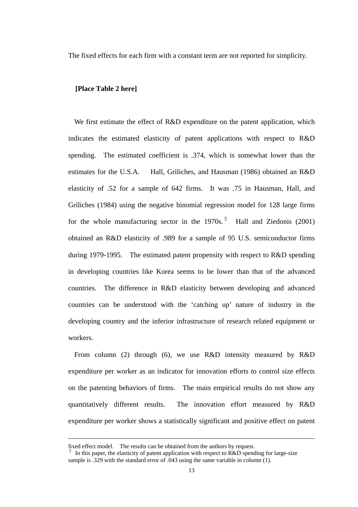The fixed effects for each firm with a constant term are not reported for simplicity.

# **[Place Table 2 here]**

We first estimate the effect of R&D expenditure on the patent application, which indicates the estimated elasticity of patent applications with respect to R&D spending. The estimated coefficient is .374, which is somewhat lower than the estimates for the U.S.A. Hall, Griliches, and Hausman (1986) obtained an R&D elasticity of .52 for a sample of 642 firms. It was .75 in Hausman, Hall, and Griliches (1984) using the negative binomial regression model for 128 large firms for the whole manufacturing sector in the  $1970s$ .<sup>5</sup> Hall and Ziedonis (2001) obtained an R&D elasticity of .989 for a sample of 95 U.S. semiconductor firms during 1979-1995. The estimated patent propensity with respect to R&D spending in developing countries like Korea seems to be lower than that of the advanced countries. The difference in R&D elasticity between developing and advanced countries can be understood with the 'catching up' nature of industry in the developing country and the inferior infrastructure of research related equipment or workers.

From column (2) through (6), we use R&D intensity measured by R&D expenditure per worker as an indicator for innovation efforts to control size effects on the patenting behaviors of firms. The main empirical results do not show any quantitatively different results. The innovation effort measured by R&D expenditure per worker shows a statistically significant and positive effect on patent

1

fixed effect model. The results can be obtained from the authors by request.

In this paper, the elasticity of patent application with respect to  $R&D$  spending for large-size sample is .329 with the standard error of .043 using the same variable in column (1).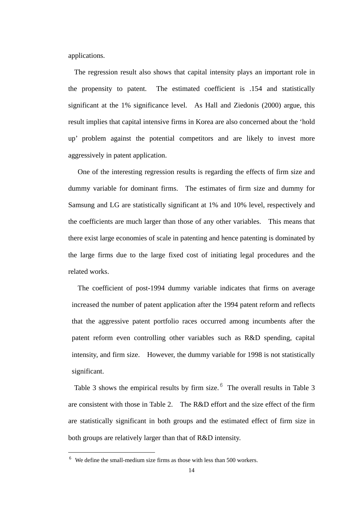applications.

The regression result also shows that capital intensity plays an important role in the propensity to patent. The estimated coefficient is .154 and statistically significant at the 1% significance level. As Hall and Ziedonis (2000) argue, this result implies that capital intensive firms in Korea are also concerned about the 'hold up' problem against the potential competitors and are likely to invest more aggressively in patent application.

One of the interesting regression results is regarding the effects of firm size and dummy variable for dominant firms. The estimates of firm size and dummy for Samsung and LG are statistically significant at 1% and 10% level, respectively and the coefficients are much larger than those of any other variables. This means that there exist large economies of scale in patenting and hence patenting is dominated by the large firms due to the large fixed cost of initiating legal procedures and the related works.

The coefficient of post-1994 dummy variable indicates that firms on average increased the number of patent application after the 1994 patent reform and reflects that the aggressive patent portfolio races occurred among incumbents after the patent reform even controlling other variables such as R&D spending, capital intensity, and firm size. However, the dummy variable for 1998 is not statistically significant.

Table 3 shows the empirical results by firm size. $6$  The overall results in Table 3 are consistent with those in Table 2. The R&D effort and the size effect of the firm are statistically significant in both groups and the estimated effect of firm size in both groups are relatively larger than that of R&D intensity.

1

 $6\text{ }$  We define the small-medium size firms as those with less than 500 workers.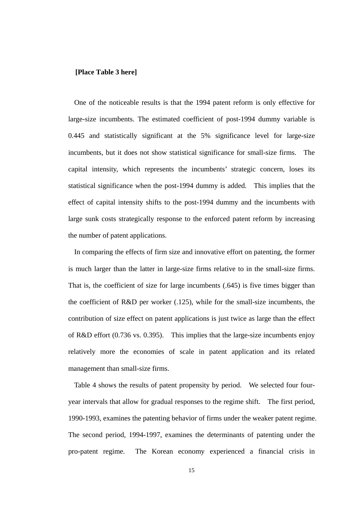# **[Place Table 3 here]**

One of the noticeable results is that the 1994 patent reform is only effective for large-size incumbents. The estimated coefficient of post-1994 dummy variable is 0.445 and statistically significant at the 5% significance level for large-size incumbents, but it does not show statistical significance for small-size firms. The capital intensity, which represents the incumbents' strategic concern, loses its statistical significance when the post-1994 dummy is added. This implies that the effect of capital intensity shifts to the post-1994 dummy and the incumbents with large sunk costs strategically response to the enforced patent reform by increasing the number of patent applications.

In comparing the effects of firm size and innovative effort on patenting, the former is much larger than the latter in large-size firms relative to in the small-size firms. That is, the coefficient of size for large incumbents (.645) is five times bigger than the coefficient of R&D per worker (.125), while for the small-size incumbents, the contribution of size effect on patent applications is just twice as large than the effect of R&D effort (0.736 vs. 0.395). This implies that the large-size incumbents enjoy relatively more the economies of scale in patent application and its related management than small-size firms.

Table 4 shows the results of patent propensity by period. We selected four fouryear intervals that allow for gradual responses to the regime shift. The first period, 1990-1993, examines the patenting behavior of firms under the weaker patent regime. The second period, 1994-1997, examines the determinants of patenting under the pro-patent regime. The Korean economy experienced a financial crisis in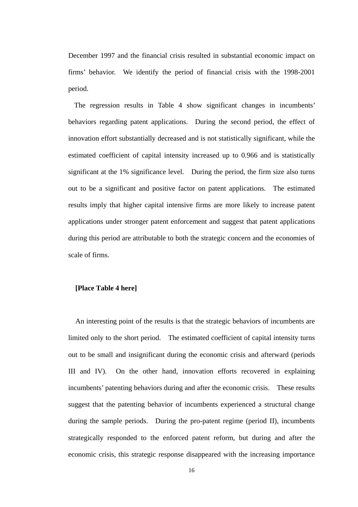December 1997 and the financial crisis resulted in substantial economic impact on firms' behavior. We identify the period of financial crisis with the 1998-2001 period.

The regression results in Table 4 show significant changes in incumbents' behaviors regarding patent applications. During the second period, the effect of innovation effort substantially decreased and is not statistically significant, while the estimated coefficient of capital intensity increased up to 0.966 and is statistically significant at the 1% significance level. During the period, the firm size also turns out to be a significant and positive factor on patent applications. The estimated results imply that higher capital intensive firms are more likely to increase patent applications under stronger patent enforcement and suggest that patent applications during this period are attributable to both the strategic concern and the economies of scale of firms.

# **[Place Table 4 here]**

An interesting point of the results is that the strategic behaviors of incumbents are limited only to the short period. The estimated coefficient of capital intensity turns out to be small and insignificant during the economic crisis and afterward (periods III and IV). On the other hand, innovation efforts recovered in explaining incumbents' patenting behaviors during and after the economic crisis. These results suggest that the patenting behavior of incumbents experienced a structural change during the sample periods. During the pro-patent regime (period II), incumbents strategically responded to the enforced patent reform, but during and after the economic crisis, this strategic response disappeared with the increasing importance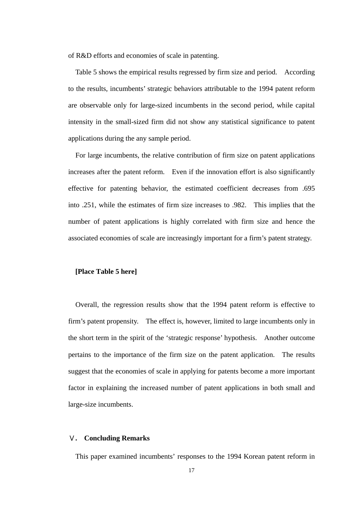of R&D efforts and economies of scale in patenting.

Table 5 shows the empirical results regressed by firm size and period. According to the results, incumbents' strategic behaviors attributable to the 1994 patent reform are observable only for large-sized incumbents in the second period, while capital intensity in the small-sized firm did not show any statistical significance to patent applications during the any sample period.

For large incumbents, the relative contribution of firm size on patent applications increases after the patent reform. Even if the innovation effort is also significantly effective for patenting behavior, the estimated coefficient decreases from .695 into .251, while the estimates of firm size increases to .982. This implies that the number of patent applications is highly correlated with firm size and hence the associated economies of scale are increasingly important for a firm's patent strategy.

#### **[Place Table 5 here]**

Overall, the regression results show that the 1994 patent reform is effective to firm's patent propensity. The effect is, however, limited to large incumbents only in the short term in the spirit of the 'strategic response' hypothesis. Another outcome pertains to the importance of the firm size on the patent application. The results suggest that the economies of scale in applying for patents become a more important factor in explaining the increased number of patent applications in both small and large-size incumbents.

# Ⅴ**. Concluding Remarks**

This paper examined incumbents' responses to the 1994 Korean patent reform in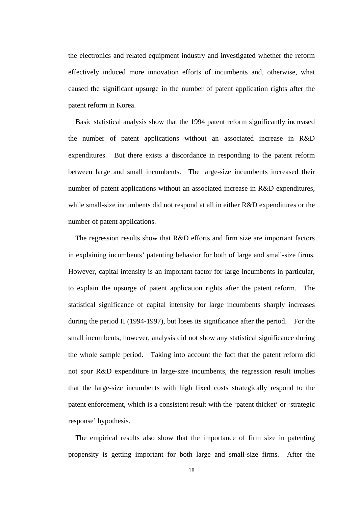the electronics and related equipment industry and investigated whether the reform effectively induced more innovation efforts of incumbents and, otherwise, what caused the significant upsurge in the number of patent application rights after the patent reform in Korea.

Basic statistical analysis show that the 1994 patent reform significantly increased the number of patent applications without an associated increase in R&D expenditures. But there exists a discordance in responding to the patent reform between large and small incumbents. The large-size incumbents increased their number of patent applications without an associated increase in R&D expenditures, while small-size incumbents did not respond at all in either R&D expenditures or the number of patent applications.

The regression results show that R&D efforts and firm size are important factors in explaining incumbents' patenting behavior for both of large and small-size firms. However, capital intensity is an important factor for large incumbents in particular, to explain the upsurge of patent application rights after the patent reform. The statistical significance of capital intensity for large incumbents sharply increases during the period II (1994-1997), but loses its significance after the period. For the small incumbents, however, analysis did not show any statistical significance during the whole sample period. Taking into account the fact that the patent reform did not spur R&D expenditure in large-size incumbents, the regression result implies that the large-size incumbents with high fixed costs strategically respond to the patent enforcement, which is a consistent result with the 'patent thicket' or 'strategic response' hypothesis.

The empirical results also show that the importance of firm size in patenting propensity is getting important for both large and small-size firms. After the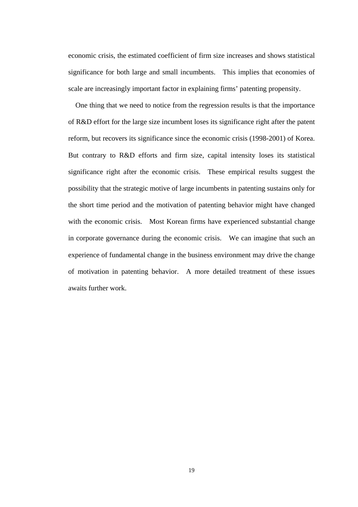economic crisis, the estimated coefficient of firm size increases and shows statistical significance for both large and small incumbents. This implies that economies of scale are increasingly important factor in explaining firms' patenting propensity.

One thing that we need to notice from the regression results is that the importance of R&D effort for the large size incumbent loses its significance right after the patent reform, but recovers its significance since the economic crisis (1998-2001) of Korea. But contrary to R&D efforts and firm size, capital intensity loses its statistical significance right after the economic crisis. These empirical results suggest the possibility that the strategic motive of large incumbents in patenting sustains only for the short time period and the motivation of patenting behavior might have changed with the economic crisis. Most Korean firms have experienced substantial change in corporate governance during the economic crisis. We can imagine that such an experience of fundamental change in the business environment may drive the change of motivation in patenting behavior. A more detailed treatment of these issues awaits further work.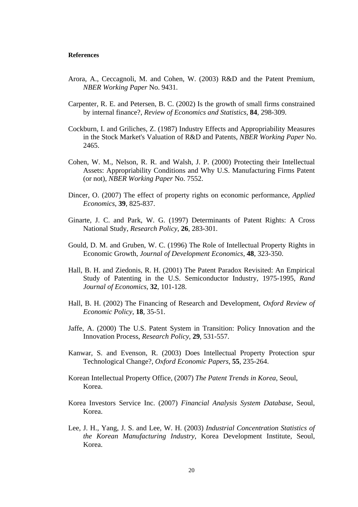#### **References**

- Arora, A., Ceccagnoli, M. and Cohen, W. (2003) R&D and the Patent Premium, *NBER Working Paper* No. 9431.
- Carpenter, R. E. and Petersen, B. C. (2002) Is the growth of small firms constrained by internal finance?, *Review of Economics and Statistics*, **84**, 298-309.
- Cockburn, I. and Griliches, Z. (1987) Industry Effects and Appropriability Measures in the Stock Market's Valuation of R&D and Patents, *NBER Working Paper* No. 2465.
- Cohen, W. M., Nelson, R. R. and Walsh, J. P. (2000) Protecting their Intellectual Assets: Appropriability Conditions and Why U.S. Manufacturing Firms Patent (or not), *NBER Working Paper* No. 7552.
- Dincer, O. (2007) The effect of property rights on economic performance, *Applied Economics*, **39**, 825-837.
- Ginarte, J. C. and Park, W. G. (1997) Determinants of Patent Rights: A Cross National Study, *Research Policy*, **26**, 283-301.
- Gould, D. M. and Gruben, W. C. (1996) The Role of Intellectual Property Rights in Economic Growth, *Journal of Development Economics*, **48**, 323-350.
- Hall, B. H. and Ziedonis, R. H. (2001) The Patent Paradox Revisited: An Empirical Study of Patenting in the U.S. Semiconductor Industry, 1975-1995, *Rand Journal of Economics*, **32**, 101-128.
- Hall, B. H. (2002) The Financing of Research and Development, *Oxford Review of Economic Policy*, **18**, 35-51.
- Jaffe, A. (2000) The U.S. Patent System in Transition: Policy Innovation and the Innovation Process, *Research Policy*, **29**, 531-557.
- Kanwar, S. and Evenson, R. (2003) Does Intellectual Property Protection spur Technological Change?, *Oxford Economic Papers*, **55**, 235-264.
- Korean Intellectual Property Office, (2007) *The Patent Trends in Korea*, Seoul, Korea.
- Korea Investors Service Inc. (2007) *Financial Analysis System Database*, Seoul, Korea.
- Lee, J. H., Yang, J. S. and Lee, W. H. (2003) *Industrial Concentration Statistics of the Korean Manufacturing Industry*, Korea Development Institute, Seoul, Korea.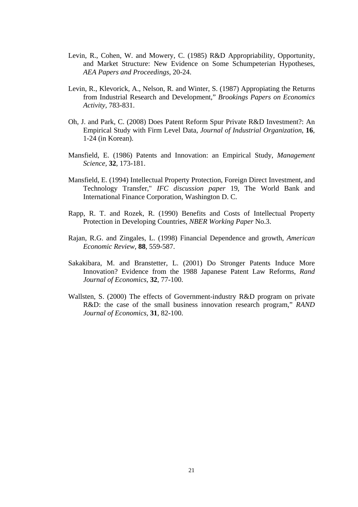- Levin, R., Cohen, W. and Mowery, C. (1985) R&D Appropriability, Opportunity, and Market Structure: New Evidence on Some Schumpeterian Hypotheses, *AEA Papers and Proceedings*, 20-24.
- Levin, R., Klevorick, A., Nelson, R. and Winter, S. (1987) Appropiating the Returns from Industrial Research and Development," *Brookings Papers on Economics Activity,* 783-831.
- Oh, J. and Park, C. (2008) Does Patent Reform Spur Private R&D Investment?: An Empirical Study with Firm Level Data, *Journal of Industrial Organization*, **16**, 1-24 (in Korean).
- Mansfield, E. (1986) Patents and Innovation: an Empirical Study, *Management Science,* **32**, 173-181.
- Mansfield, E. (1994) Intellectual Property Protection, Foreign Direct Investment, and Technology Transfer," *IFC discussion paper* 19, The World Bank and International Finance Corporation, Washington D. C.
- Rapp, R. T. and Rozek, R. (1990) Benefits and Costs of Intellectual Property Protection in Developing Countries, *NBER Working Paper* No.3.
- Rajan, R.G. and Zingales, L. (1998) Financial Dependence and growth, *American Economic Review,* **88**, 559-587.
- Sakakibara, M. and Branstetter, L. (2001) Do Stronger Patents Induce More Innovation? Evidence from the 1988 Japanese Patent Law Reforms, *Rand Journal of Economics*, **32**, 77-100.
- Wallsten, S. (2000) The effects of Government-industry R&D program on private R&D: the case of the small business innovation research program," *RAND Journal of Economics,* **31**, 82-100.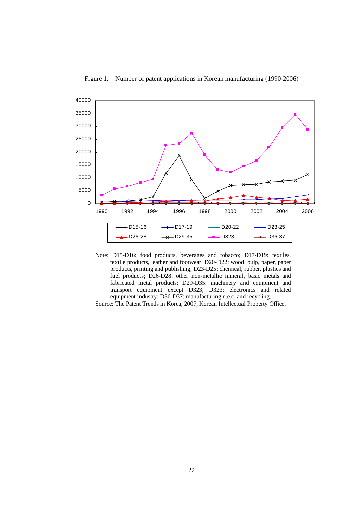

Figure 1. Number of patent applications in Korean manufacturing (1990-2006)

Note: D15-D16: food products, beverages and tobacco; D17-D19: textiles, textile products, leather and footwear; D20-D22: wood, pulp, paper, paper products, printing and publishing; D23-D25: chemical, rubber, plastics and fuel products; D26-D28: other non-metallic mineral, basic metals and fabricated metal products; D29-D35: machinery and equipment and transport equipment except D323; D323: electronics and related equipment industry; D36-D37: manufacturing n.e.c. and recycling.

Source: The Patent Trends in Korea, 2007, Korean Intellectual Property Office.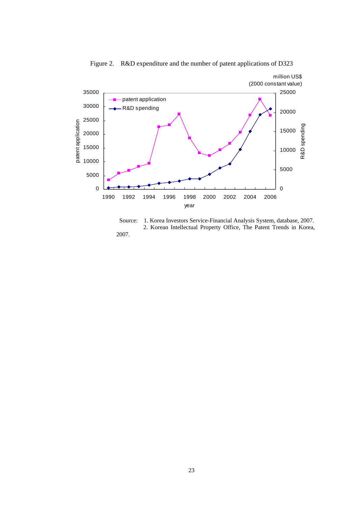

Figure 2. R&D expenditure and the number of patent applications of D323

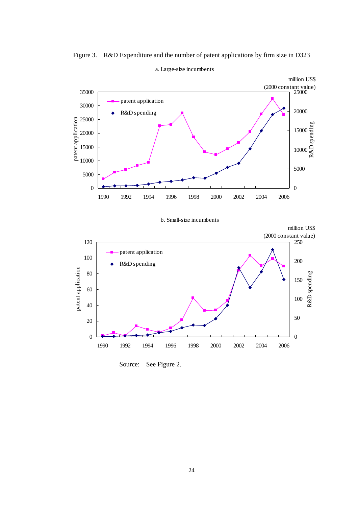

Figure 3. R&D Expenditure and the number of patent applications by firm size in D323

a. Large-size incumbents

Source: See Figure 2.

1990 1992 1994 1996 1998 2000 2002 2004 2006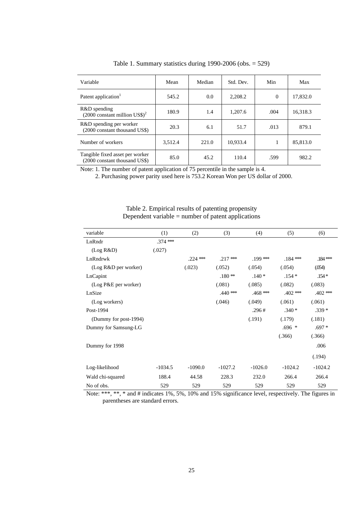| Variable                                                         | Mean    | Median | Std. Dev. | Min      | Max      |
|------------------------------------------------------------------|---------|--------|-----------|----------|----------|
| Patent application <sup>1</sup>                                  | 545.2   | 0.0    | 2,208.2   | $\Omega$ | 17,832.0 |
| R&D spending<br>$(2000 \text{ constant million US})^2$           | 180.9   | 1.4    | 1,207.6   | .004     | 16,318.3 |
| R&D spending per worker<br>(2000 constant thousand US\$)         | 20.3    | 6.1    | 51.7      | .013     | 879.1    |
| Number of workers                                                | 3,512.4 | 221.0  | 10,933.4  |          | 85,813.0 |
| Tangible fixed asset per worker<br>(2000 constant thousand US\$) | 85.0    | 45.2   | 110.4     | .599     | 982.2    |

Table 1. Summary statistics during 1990-2006 (obs. = 529)

Note: 1. The number of patent application of 75 percentile in the sample is 4.

2. Purchasing power parity used here is 753.2 Korean Won per US dollar of 2000.

| variable              | (1)        | (2)        | (3)        | (4)        | (5)        | (6)        |
|-----------------------|------------|------------|------------|------------|------------|------------|
| LnRndr                | $.374$ *** |            |            |            |            |            |
| (Log R&D)             | (.027)     |            |            |            |            |            |
| LnRndrwk              |            | $.224$ *** | $.217$ *** | $.199***$  | $.184***$  | $.184***$  |
| (Log R&D per worker)  |            | (.023)     | (.052)     | (.054)     | (.054)     | (054)      |
| LnCapint              |            |            | $.180**$   | $.140*$    | $.154*$    | $.154*$    |
| (Log P&E per worker)  |            |            | (.081)     | (.085)     | (.082)     | (.083)     |
| LnSize                |            |            | $.440***$  | $.468$ *** | $.402$ *** | $.402$ *** |
| (Log workers)         |            |            | (.046)     | (.049)     | (.061)     | (.061)     |
| Post-1994             |            |            |            | .296#      | $.340*$    | $.339*$    |
| (Dummy for post-1994) |            |            |            | (.191)     | (.179)     | (.181)     |
| Dummy for Samsung-LG  |            |            |            |            | $.696*$    | $.697*$    |
|                       |            |            |            |            | (.366)     | (.366)     |
| Dummy for 1998        |            |            |            |            |            | .006       |
|                       |            |            |            |            |            | (.194)     |
| Log-likelihood        | $-1034.5$  | $-1090.0$  | $-1027.2$  | $-1026.0$  | $-1024.2$  | $-1024.2$  |
| Wald chi-squared      | 188.4      | 44.58      | 228.3      | 232.0      | 266.4      | 266.4      |
| No of obs.            | 529        | 529        | 529        | 529        | 529        | 529        |

Table 2. Empirical results of patenting propensity Dependent variable  $=$  number of patent applications

Note: \*\*\*, \*\*, \* and # indicates 1%, 5%, 10% and 15% significance level, respectively. The figures in parentheses are standard errors.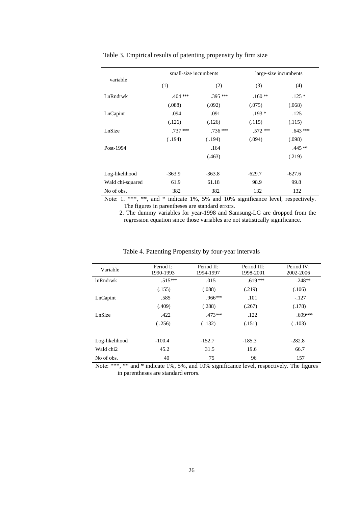|                  | small-size incumbents |            | large-size incumbents |            |
|------------------|-----------------------|------------|-----------------------|------------|
| variable         | (1)                   | (2)        | (3)                   | (4)        |
| LnRndrwk         | $.404$ ***            | $.395$ *** | $.160**$              | $.125*$    |
|                  | (.088)                | (.092)     | (.075)                | (.068)     |
| LnCapint         | .094                  | .091       | $.193*$               | .125       |
|                  | (.126)                | (.126)     | (.115)                | (.115)     |
| LnSize           | $.737$ ***            | $.736$ *** | $.572$ ***            | $.643$ *** |
|                  | (.194)                | (.194)     | (.094)                | (.098)     |
| Post-1994        |                       | .164       |                       | $.445**$   |
|                  |                       | (.463)     |                       | (.219)     |
| Log-likelihood   | $-363.9$              | $-363.8$   | $-629.7$              | $-627.6$   |
| Wald chi-squared | 61.9                  | 61.18      | 98.9                  | 99.8       |
| No of obs.       | 382                   | 382        | 132                   | 132        |

#### Table 3. Empirical results of patenting propensity by firm size

Note: 1. \*\*\*, \*\*, and \* indicate 1%, 5% and 10% significance level, respectively. The figures in parentheses are standard errors.

 2. The dummy variables for year-1998 and Samsung-LG are dropped from the regression equation since those variables are not statistically significance.

| Variable              | Period I:<br>1990-1993 | Period II:<br>1994-1997 | Period III:<br>1998-2001 | Period IV:<br>2002-2006 |
|-----------------------|------------------------|-------------------------|--------------------------|-------------------------|
| <b>lnRndrwk</b>       | $.515***$              | .015                    | $.619***$                | $.248**$                |
|                       | (.155)                 | (.088)                  | (.219)                   | (.106)                  |
| LnCapint              | .585                   | $.966***$               | .101                     | $-.127$                 |
|                       | (.409)                 | (.288)                  | (.267)                   | (.178)                  |
| LnSize                | .422                   | $.473***$               | .122                     | .699***                 |
|                       | (.256)                 | (.132)                  | (.151)                   | (.103)                  |
| Log-likelihood        | $-100.4$               | $-152.7$                | $-185.3$                 | $-282.8$                |
| Wald chi <sub>2</sub> | 45.2                   | 31.5                    | 19.6                     | 66.7                    |
| No of obs.            | 40                     | 75                      | 96                       | 157                     |

#### Table 4. Patenting Propensity by four-year intervals

Note: \*\*\*, \*\* and \* indicate 1%, 5%, and 10% significance level, respectively. The figures in parentheses are standard errors.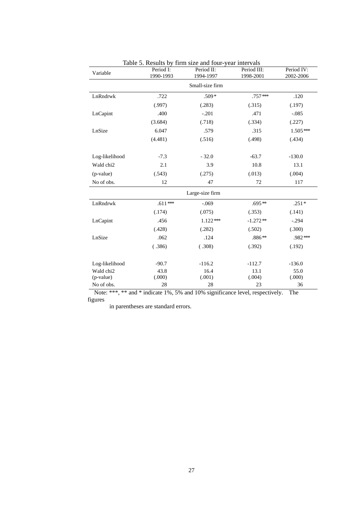| Variable        | Period I:<br>1990-1993 | Table 5. Results by Their size and Tour-year mile valis<br>Period II:<br>1994-1997 | Period III:<br>1998-2001 | Period IV:<br>2002-2006 |  |  |
|-----------------|------------------------|------------------------------------------------------------------------------------|--------------------------|-------------------------|--|--|
| Small-size firm |                        |                                                                                    |                          |                         |  |  |
| LnRndrwk        | .722                   | $.509*$                                                                            | $.757***$                | .120                    |  |  |
|                 | (.997)                 | (.283)                                                                             | (.315)                   | (.197)                  |  |  |
| LnCapint        | .400                   | $-.201$                                                                            | .471                     | $-.085$                 |  |  |
|                 | (3.684)                | (.718)                                                                             | (.334)                   | (.227)                  |  |  |
| LnSize          | 6.047                  | .579                                                                               | .315                     | $1.505***$              |  |  |
|                 | (4.481)                | (.516)                                                                             | (.498)                   | (.434)                  |  |  |
| Log-likelihood  | $-7.3$                 | $-32.0$                                                                            | $-63.7$                  | $-130.0$                |  |  |
| Wald chi2       | 2.1                    | 3.9                                                                                | 10.8                     | 13.1                    |  |  |
| (p-value)       | (.543)                 | (.275)                                                                             | (.013)                   | (.004)                  |  |  |
| No of obs.      | 12                     | 47                                                                                 | 72                       | 117                     |  |  |
|                 |                        | Large-size firm                                                                    |                          |                         |  |  |
| LnRndrwk        | $.611***$              | $-.069$                                                                            | $.695**$                 | $.251*$                 |  |  |
|                 | (.174)                 | (.075)                                                                             | (.353)                   | (.141)                  |  |  |
| LnCapint        | .456                   | $1.122***$                                                                         | $-1.272**$               | $-.294$                 |  |  |
|                 | (.428)                 | (.282)                                                                             | (.502)                   | (.300)                  |  |  |
| LnSize          | .062                   | .124                                                                               | $.886**$                 | .982***                 |  |  |
|                 | (.386)                 | (.308)                                                                             | (.392)                   | (.192)                  |  |  |
| Log-likelihood  | $-90.7$                | $-116.2$                                                                           | $-112.7$                 | $-136.0$                |  |  |
| Wald chi2       | 43.8                   | 16.4                                                                               | 13.1                     | 55.0                    |  |  |
| (p-value)       | (.000)                 | (.001)                                                                             | (.004)                   | (.000)                  |  |  |
| No of obs.      | 28                     | 28                                                                                 | 23                       | 36                      |  |  |

Table 5. Results by firm size and four-year intervals

Note: \*\*\*, \*\* and \* indicate 1%, 5% and 10% significance level, respectively. The figures

in parentheses are standard errors.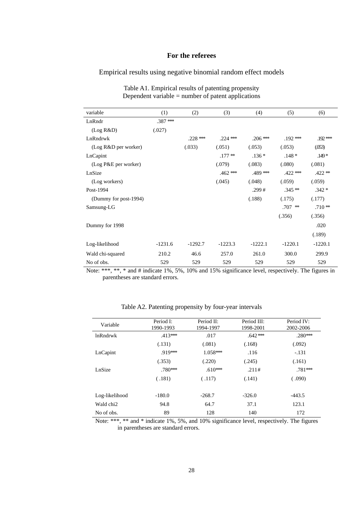# **For the referees**

# Empirical results using negative binomial random effect models

| variable              | (1)       | (2)        | (3)        | (4)        | (5)        | (6)       |
|-----------------------|-----------|------------|------------|------------|------------|-----------|
| LnRndr                | $.387$ ** |            |            |            |            |           |
| (Log R&D)             | (.027)    |            |            |            |            |           |
| LnRndrwk              |           | $.228$ *** | $.224$ *** | $.206$ *** | $.192***$  | $.192***$ |
| (Log R&D per worker)  |           | (.033)     | (.051)     | (.053)     | (.053)     | (053)     |
| LnCapint              |           |            | $.177**$   | $.136*$    | $.148*$    | $.149*$   |
| (Log P&E per worker)  |           |            | (.079)     | (.083)     | (.080)     | (.081)    |
| LnSize                |           |            | $.462$ *** | .489 ***   | $.422$ *** | $.422**$  |
| (Log workers)         |           |            | (.045)     | (.048)     | (.059)     | (.059)    |
| Post-1994             |           |            |            | .299#      | $.345**$   | $.342*$   |
| (Dummy for post-1994) |           |            |            | (.188)     | (.175)     | (.177)    |
| Samsung-LG            |           |            |            |            | .707<br>∗∗ | $.710**$  |
|                       |           |            |            |            | (.356)     | (.356)    |
| Dummy for 1998        |           |            |            |            |            | .020      |
|                       |           |            |            |            |            | (.189)    |
| Log-likelihood        | $-1231.6$ | $-1292.7$  | $-1223.3$  | $-1222.1$  | $-1220.1$  | $-1220.1$ |
| Wald chi-squared      | 210.2     | 46.6       | 257.0      | 261.0      | 300.0      | 299.9     |
| No of obs.            | 529       | 529        | 529        | 529        | 529        | 529       |

Table A1. Empirical results of patenting propensity Dependent variable  $=$  number of patent applications

Note: \*\*\*, \*\*, \* and # indicate 1%, 5%, 10% and 15% significance level, respectively. The figures in parentheses are standard errors.

| Variable        | Period I:<br>1990-1993 | Period II:<br>1994-1997 | Period III:<br>1998-2001 | Period IV:<br>2002-2006 |
|-----------------|------------------------|-------------------------|--------------------------|-------------------------|
| <b>lnRndrwk</b> | $.413***$              | .017                    | $.642***$                | $.280***$               |
|                 | (.131)                 | (.081)                  | (.168)                   | (.092)                  |
| LnCapint        | $.919***$              | $1.058***$              | .116                     | $-.131$                 |
|                 | (.353)                 | (.220)                  | (.245)                   | (.161)                  |
| LnSize          | $.780***$              | $.610***$               | .211#                    | $.781***$               |
|                 | (.181)                 | (.117)                  | (.141)                   | (.090)                  |
| Log-likelihood  | $-180.0$               | $-268.7$                | $-326.0$                 | $-443.5$                |
| Wald chi2       | 94.8                   | 64.7                    | 37.1                     | 123.1                   |
| No of obs.      | 89                     | 128                     | 140                      | 172                     |

Table A2. Patenting propensity by four-year intervals

Note: \*\*\*, \*\* and \* indicate 1%, 5%, and 10% significance level, respectively. The figures in parentheses are standard errors.